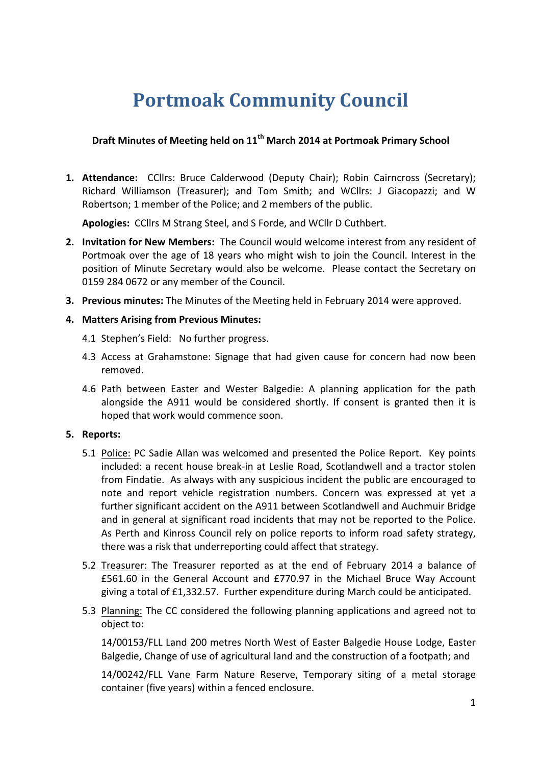# **Portmoak Community Council**

## **Draft Minutes of Meeting held on 11th March 2014 at Portmoak Primary School**

**1. Attendance:** CCllrs: Bruce Calderwood (Deputy Chair); Robin Cairncross (Secretary); Richard Williamson (Treasurer); and Tom Smith; and WCllrs: J Giacopazzi; and W Robertson: 1 member of the Police: and 2 members of the public.

Apologies: CCllrs M Strang Steel, and S Forde, and WCllr D Cuthbert.

- **2.** Invitation for New Members: The Council would welcome interest from any resident of Portmoak over the age of 18 years who might wish to join the Council. Interest in the position of Minute Secretary would also be welcome. Please contact the Secretary on 0159 284 0672 or any member of the Council.
- **3. Previous minutes:** The Minutes of the Meeting held in February 2014 were approved.

### **4. Matters Arising from Previous Minutes:**

- 4.1 Stephen's Field: No further progress.
- 4.3 Access at Grahamstone: Signage that had given cause for concern had now been removed.
- 4.6 Path between Easter and Wester Balgedie: A planning application for the path alongside the A911 would be considered shortly. If consent is granted then it is hoped that work would commence soon.

#### **5.** Reports:

- 5.1 Police: PC Sadie Allan was welcomed and presented the Police Report. Key points included: a recent house break-in at Leslie Road, Scotlandwell and a tractor stolen from Findatie. As always with any suspicious incident the public are encouraged to note and report vehicle registration numbers. Concern was expressed at yet a further significant accident on the A911 between Scotlandwell and Auchmuir Bridge and in general at significant road incidents that may not be reported to the Police. As Perth and Kinross Council rely on police reports to inform road safety strategy, there was a risk that underreporting could affect that strategy.
- 5.2 Treasurer: The Treasurer reported as at the end of February 2014 a balance of £561.60 in the General Account and £770.97 in the Michael Bruce Way Account giving a total of  $£1,332.57$ . Further expenditure during March could be anticipated.
- 5.3 Planning: The CC considered the following planning applications and agreed not to object to:

14/00153/FLL Land 200 metres North West of Easter Balgedie House Lodge, Easter Balgedie, Change of use of agricultural land and the construction of a footpath; and

14/00242/FLL Vane Farm Nature Reserve, Temporary siting of a metal storage container (five years) within a fenced enclosure.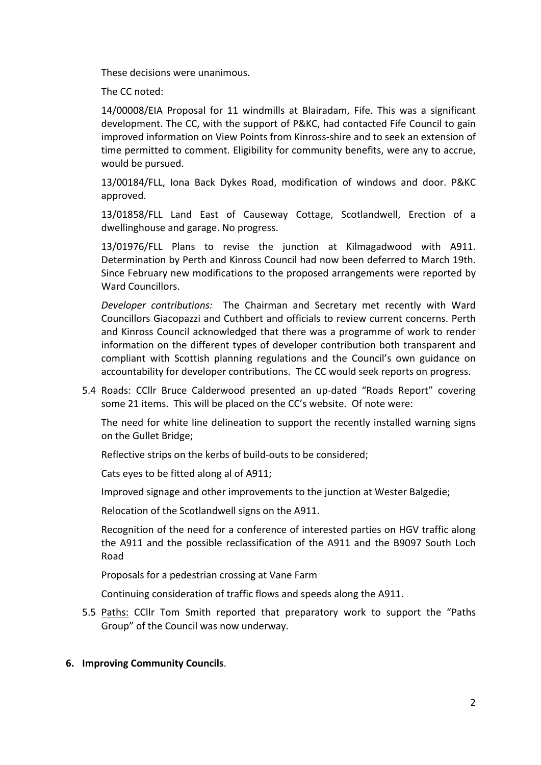These decisions were unanimous.

The CC noted:

14/00008/EIA Proposal for 11 windmills at Blairadam, Fife. This was a significant development. The CC, with the support of P&KC, had contacted Fife Council to gain improved information on View Points from Kinross-shire and to seek an extension of time permitted to comment. Eligibility for community benefits, were any to accrue, would be pursued.

13/00184/FLL, Iona Back Dykes Road, modification of windows and door. P&KC approved.

13/01858/FLL Land East of Causeway Cottage, Scotlandwell, Erection of a dwellinghouse and garage. No progress.

13/01976/FLL Plans to revise the junction at Kilmagadwood with A911. Determination by Perth and Kinross Council had now been deferred to March 19th. Since February new modifications to the proposed arrangements were reported by Ward Councillors

*Developer contributions:* The Chairman and Secretary met recently with Ward Councillors Giacopazzi and Cuthbert and officials to review current concerns. Perth and Kinross Council acknowledged that there was a programme of work to render information on the different types of developer contribution both transparent and compliant with Scottish planning regulations and the Council's own guidance on accountability for developer contributions. The CC would seek reports on progress.

5.4 Roads: CCllr Bruce Calderwood presented an up-dated "Roads Report" covering some 21 items. This will be placed on the CC's website. Of note were:

The need for white line delineation to support the recently installed warning signs on the Gullet Bridge;

Reflective strips on the kerbs of build-outs to be considered;

Cats eyes to be fitted along al of A911;

Improved signage and other improvements to the junction at Wester Balgedie;

Relocation of the Scotlandwell signs on the A911.

Recognition of the need for a conference of interested parties on HGV traffic along the A911 and the possible reclassification of the A911 and the B9097 South Loch Road

Proposals for a pedestrian crossing at Vane Farm

Continuing consideration of traffic flows and speeds along the A911.

- 5.5 Paths: CCllr Tom Smith reported that preparatory work to support the "Paths" Group" of the Council was now underway.
- **6. Improving Community Councils.**